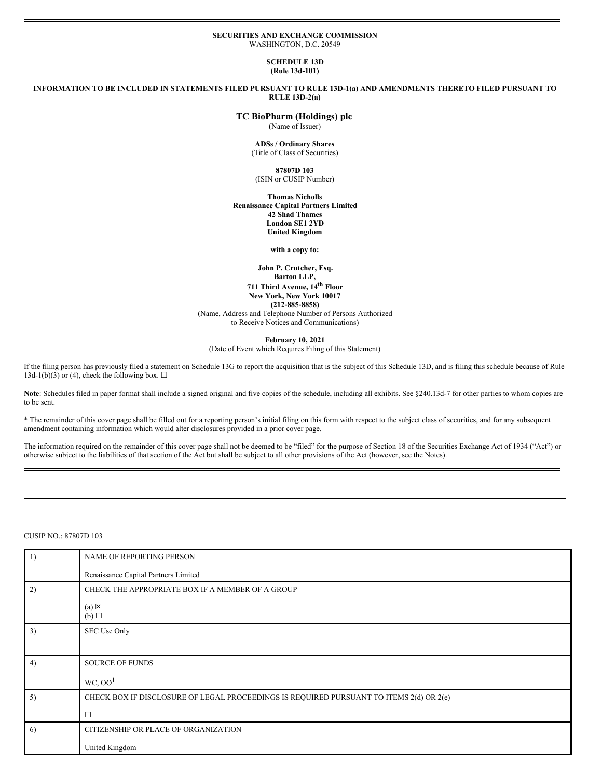#### **SECURITIES AND EXCHANGE COMMISSION** WASHINGTON, D.C. 20549

#### **SCHEDULE 13D (Rule 13d-101)**

INFORMATION TO BE INCLUDED IN STATEMENTS FILED PURSUANT TO RULE 13D-1(a) AND AMENDMENTS THERETO FILED PURSUANT TO **RULE 13D-2(a)**

# **TC BioPharm (Holdings) plc**

(Name of Issuer)

#### **ADSs / Ordinary Shares** (Title of Class of Securities)

# **87807D 103**

(ISIN or CUSIP Number)

**Thomas Nicholls Renaissance Capital Partners Limited 42 Shad Thames London SE1 2YD United Kingdom**

#### **with a copy to:**

#### **John P. Crutcher, Esq. Barton LLP,**

**711 Third Avenue, 14 th Floor New York, New York 10017 (212-885-8858)**

(Name, Address and Telephone Number of Persons Authorized to Receive Notices and Communications)

**February 10, 2021**

(Date of Event which Requires Filing of this Statement)

If the filing person has previously filed a statement on Schedule 13G to report the acquisition that is the subject of this Schedule 13D, and is filing this schedule because of Rule 13d-1(b)(3) or (4), check the following box.  $\Box$ 

Note: Schedules filed in paper format shall include a signed original and five copies of the schedule, including all exhibits. See §240.13d-7 for other parties to whom copies are to be sent.

\* The remainder of this cover page shall be filled out for a reporting person's initial filing on this form with respect to the subject class of securities, and for any subsequent amendment containing information which would alter disclosures provided in a prior cover page.

The information required on the remainder of this cover page shall not be deemed to be "filed" for the purpose of Section 18 of the Securities Exchange Act of 1934 ("Act") or otherwise subject to the liabilities of that section of the Act but shall be subject to all other provisions of the Act (however, see the Notes).

# CUSIP NO.: 87807D 103

| 1) | NAME OF REPORTING PERSON                                                                |  |  |  |  |
|----|-----------------------------------------------------------------------------------------|--|--|--|--|
|    | Renaissance Capital Partners Limited                                                    |  |  |  |  |
| 2) | CHECK THE APPROPRIATE BOX IF A MEMBER OF A GROUP                                        |  |  |  |  |
|    | $(a) \boxtimes$<br>(b)                                                                  |  |  |  |  |
| 3) | SEC Use Only                                                                            |  |  |  |  |
|    |                                                                                         |  |  |  |  |
| 4) | <b>SOURCE OF FUNDS</b>                                                                  |  |  |  |  |
|    | WC, OO <sup>1</sup>                                                                     |  |  |  |  |
| 5) | CHECK BOX IF DISCLOSURE OF LEGAL PROCEEDINGS IS REQUIRED PURSUANT TO ITEMS 2(d) OR 2(e) |  |  |  |  |
|    | $\Box$                                                                                  |  |  |  |  |
| 6) | CITIZENSHIP OR PLACE OF ORGANIZATION                                                    |  |  |  |  |
|    | United Kingdom                                                                          |  |  |  |  |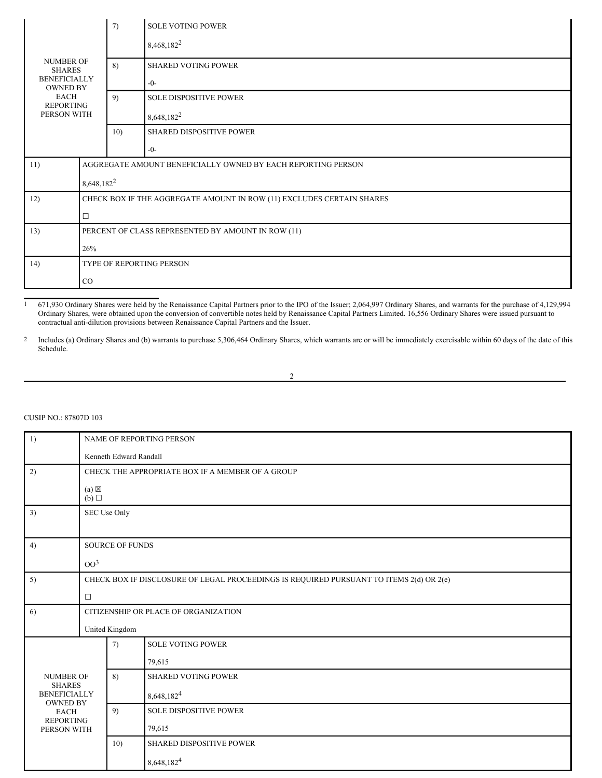|                                                                                          |                                                    | 7)                                                           | <b>SOLE VOTING POWER</b>                                              |  |
|------------------------------------------------------------------------------------------|----------------------------------------------------|--------------------------------------------------------------|-----------------------------------------------------------------------|--|
|                                                                                          |                                                    |                                                              | 8,468,182 <sup>2</sup>                                                |  |
| <b>NUMBER OF</b><br><b>SHARES</b>                                                        |                                                    | 8)                                                           | <b>SHARED VOTING POWER</b>                                            |  |
| <b>BENEFICIALLY</b><br><b>OWNED BY</b><br><b>EACH</b><br><b>REPORTING</b><br>PERSON WITH |                                                    |                                                              | $-0-$                                                                 |  |
|                                                                                          |                                                    | 9)                                                           | <b>SOLE DISPOSITIVE POWER</b>                                         |  |
|                                                                                          |                                                    |                                                              | 8,648,182 <sup>2</sup>                                                |  |
|                                                                                          |                                                    | 10)                                                          | <b>SHARED DISPOSITIVE POWER</b>                                       |  |
|                                                                                          |                                                    |                                                              | $-0-$                                                                 |  |
| 11)                                                                                      |                                                    | AGGREGATE AMOUNT BENEFICIALLY OWNED BY EACH REPORTING PERSON |                                                                       |  |
|                                                                                          |                                                    | 8,648,182 <sup>2</sup>                                       |                                                                       |  |
| 12)                                                                                      |                                                    |                                                              | CHECK BOX IF THE AGGREGATE AMOUNT IN ROW (11) EXCLUDES CERTAIN SHARES |  |
|                                                                                          | $\Box$                                             |                                                              |                                                                       |  |
| 13)                                                                                      | PERCENT OF CLASS REPRESENTED BY AMOUNT IN ROW (11) |                                                              |                                                                       |  |
|                                                                                          | 26%                                                |                                                              |                                                                       |  |
| 14)                                                                                      | TYPE OF REPORTING PERSON                           |                                                              |                                                                       |  |
|                                                                                          | CO                                                 |                                                              |                                                                       |  |

1 671,930 Ordinary Shares were held by the Renaissance Capital Partners prior to the IPO of the Issuer; 2,064,997 Ordinary Shares, and warrants for the purchase of 4,129,994 Ordinary Shares, were obtained upon the conversion of convertible notes held by Renaissance Capital Partners Limited. 16,556 Ordinary Shares were issued pursuant to contractual anti-dilution provisions between Renaissance Capital Partners and the Issuer.

2 Includes (a) Ordinary Shares and (b) warrants to purchase 5,306,464 Ordinary Shares, which warrants are or will be immediately exercisable within 60 days of the date of this Schedule.

2

# CUSIP NO.: 87807D 103

| 1)                                | NAME OF REPORTING PERSON                                                                |                                                  |                               |  |  |
|-----------------------------------|-----------------------------------------------------------------------------------------|--------------------------------------------------|-------------------------------|--|--|
|                                   |                                                                                         | Kenneth Edward Randall                           |                               |  |  |
| 2)                                |                                                                                         | CHECK THE APPROPRIATE BOX IF A MEMBER OF A GROUP |                               |  |  |
|                                   | $(a) \boxtimes$<br>(b)                                                                  |                                                  |                               |  |  |
| 3)                                | SEC Use Only                                                                            |                                                  |                               |  |  |
| 4)                                |                                                                                         | SOURCE OF FUNDS                                  |                               |  |  |
|                                   | OO <sup>3</sup>                                                                         |                                                  |                               |  |  |
| 5)                                | CHECK BOX IF DISCLOSURE OF LEGAL PROCEEDINGS IS REQUIRED PURSUANT TO ITEMS 2(d) OR 2(e) |                                                  |                               |  |  |
|                                   | $\Box$                                                                                  |                                                  |                               |  |  |
| 6)                                | CITIZENSHIP OR PLACE OF ORGANIZATION                                                    |                                                  |                               |  |  |
|                                   | United Kingdom                                                                          |                                                  |                               |  |  |
|                                   |                                                                                         | 7)                                               | <b>SOLE VOTING POWER</b>      |  |  |
|                                   |                                                                                         |                                                  | 79,615                        |  |  |
| <b>NUMBER OF</b><br><b>SHARES</b> |                                                                                         | 8)                                               | <b>SHARED VOTING POWER</b>    |  |  |
| <b>BENEFICIALLY</b>               |                                                                                         |                                                  | 8,648,182 <sup>4</sup>        |  |  |
| <b>OWNED BY</b><br><b>EACH</b>    |                                                                                         | 9)                                               | <b>SOLE DISPOSITIVE POWER</b> |  |  |
| <b>REPORTING</b><br>PERSON WITH   |                                                                                         |                                                  | 79,615                        |  |  |
|                                   |                                                                                         | 10)                                              | SHARED DISPOSITIVE POWER      |  |  |
|                                   |                                                                                         |                                                  | 8,648,182 <sup>4</sup>        |  |  |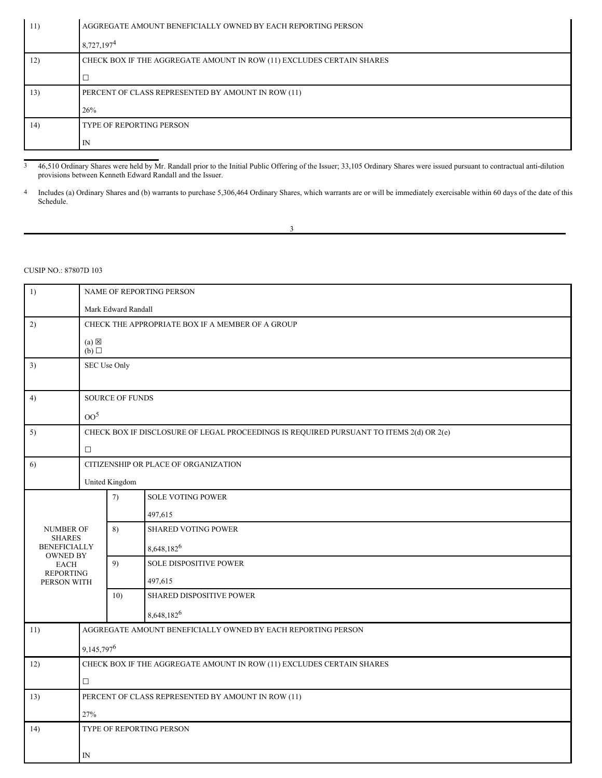| 11) | AGGREGATE AMOUNT BENEFICIALLY OWNED BY EACH REPORTING PERSON          |  |  |  |  |
|-----|-----------------------------------------------------------------------|--|--|--|--|
|     | 8,727,197 <sup>4</sup>                                                |  |  |  |  |
| 12) | CHECK BOX IF THE AGGREGATE AMOUNT IN ROW (11) EXCLUDES CERTAIN SHARES |  |  |  |  |
|     | ⊏                                                                     |  |  |  |  |
| 13) | PERCENT OF CLASS REPRESENTED BY AMOUNT IN ROW (11)                    |  |  |  |  |
|     | 26%                                                                   |  |  |  |  |
| 14) | <b>TYPE OF REPORTING PERSON</b>                                       |  |  |  |  |
|     | IN                                                                    |  |  |  |  |

3 46,510 Ordinary Shares were held by Mr. Randall prior to the Initial Public Offering of the Issuer; 33,105 Ordinary Shares were issued pursuant to contractual anti-dilution provisions between Kenneth Edward Randall and the Issuer.

4 Includes (a) Ordinary Shares and (b) warrants to purchase 5,306,464 Ordinary Shares, which warrants are or will be immediately exercisable within 60 days of the date of this Schedule.

| I<br>I |  |
|--------|--|

# CUSIP NO.: 87807D 103

| 1)                                     |                        | NAME OF REPORTING PERSON                         |                                                                                         |  |  |
|----------------------------------------|------------------------|--------------------------------------------------|-----------------------------------------------------------------------------------------|--|--|
|                                        |                        | Mark Edward Randall                              |                                                                                         |  |  |
| 2)                                     |                        | CHECK THE APPROPRIATE BOX IF A MEMBER OF A GROUP |                                                                                         |  |  |
|                                        | $(a) \boxtimes$<br>(b) |                                                  |                                                                                         |  |  |
| 3)                                     | SEC Use Only           |                                                  |                                                                                         |  |  |
|                                        |                        |                                                  |                                                                                         |  |  |
| 4)                                     |                        | SOURCE OF FUNDS                                  |                                                                                         |  |  |
|                                        | OO <sup>5</sup>        |                                                  |                                                                                         |  |  |
| 5)                                     |                        |                                                  | CHECK BOX IF DISCLOSURE OF LEGAL PROCEEDINGS IS REQUIRED PURSUANT TO ITEMS 2(d) OR 2(e) |  |  |
|                                        | $\Box$                 |                                                  |                                                                                         |  |  |
| 6)                                     |                        |                                                  | CITIZENSHIP OR PLACE OF ORGANIZATION                                                    |  |  |
|                                        |                        | United Kingdom                                   |                                                                                         |  |  |
|                                        |                        | 7)                                               | SOLE VOTING POWER                                                                       |  |  |
|                                        |                        |                                                  | 497,615                                                                                 |  |  |
| <b>NUMBER OF</b><br><b>SHARES</b>      |                        | 8)                                               | <b>SHARED VOTING POWER</b>                                                              |  |  |
| <b>BENEFICIALLY</b><br><b>OWNED BY</b> |                        |                                                  | 8,648,182 <sup>6</sup>                                                                  |  |  |
| <b>EACH</b>                            |                        | 9)                                               | SOLE DISPOSITIVE POWER                                                                  |  |  |
| <b>REPORTING</b><br>PERSON WITH        |                        |                                                  | 497,615                                                                                 |  |  |
|                                        |                        | 10)                                              | SHARED DISPOSITIVE POWER                                                                |  |  |
|                                        |                        |                                                  | 8,648,182 <sup>6</sup>                                                                  |  |  |
| 11)                                    |                        |                                                  | AGGREGATE AMOUNT BENEFICIALLY OWNED BY EACH REPORTING PERSON                            |  |  |
|                                        | 9,145,797 <sup>6</sup> |                                                  |                                                                                         |  |  |
| 12)                                    |                        |                                                  | CHECK BOX IF THE AGGREGATE AMOUNT IN ROW (11) EXCLUDES CERTAIN SHARES                   |  |  |
|                                        | $\Box$                 |                                                  |                                                                                         |  |  |
| 13)                                    |                        |                                                  | PERCENT OF CLASS REPRESENTED BY AMOUNT IN ROW (11)                                      |  |  |
|                                        | 27%                    |                                                  |                                                                                         |  |  |
| 14)                                    |                        |                                                  | TYPE OF REPORTING PERSON                                                                |  |  |
|                                        |                        |                                                  |                                                                                         |  |  |
|                                        | IN                     |                                                  |                                                                                         |  |  |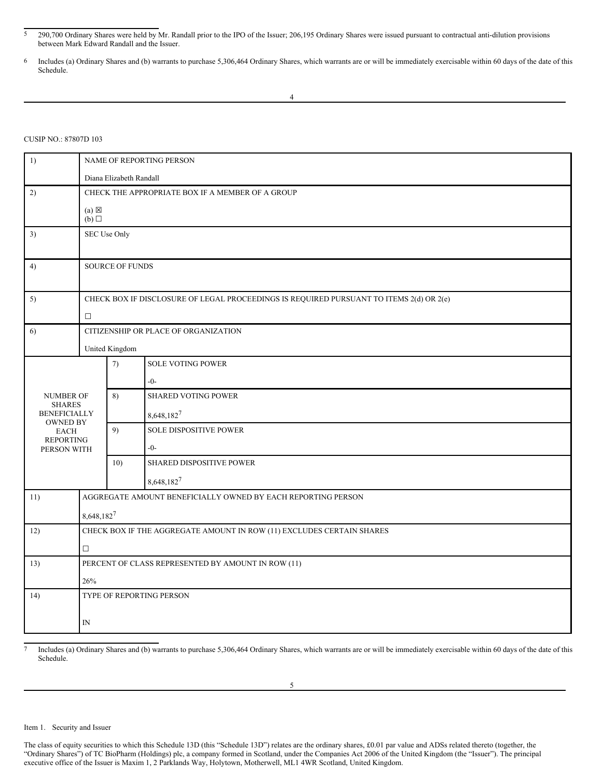#### CUSIP NO.: 87807D 103

| 1)                                   | NAME OF REPORTING PERSON                                              |                                                                                         |                                                              |  |  |
|--------------------------------------|-----------------------------------------------------------------------|-----------------------------------------------------------------------------------------|--------------------------------------------------------------|--|--|
|                                      |                                                                       | Diana Elizabeth Randall                                                                 |                                                              |  |  |
| 2)                                   |                                                                       | CHECK THE APPROPRIATE BOX IF A MEMBER OF A GROUP                                        |                                                              |  |  |
|                                      | $(a) \boxtimes$<br>$(b)$ $\square$                                    |                                                                                         |                                                              |  |  |
| 3)                                   | SEC Use Only                                                          |                                                                                         |                                                              |  |  |
| 4)                                   |                                                                       | <b>SOURCE OF FUNDS</b>                                                                  |                                                              |  |  |
| 5)                                   | $\Box$                                                                | CHECK BOX IF DISCLOSURE OF LEGAL PROCEEDINGS IS REQUIRED PURSUANT TO ITEMS 2(d) OR 2(e) |                                                              |  |  |
| 6)                                   |                                                                       |                                                                                         | CITIZENSHIP OR PLACE OF ORGANIZATION                         |  |  |
|                                      |                                                                       | United Kingdom                                                                          |                                                              |  |  |
|                                      |                                                                       | 7)                                                                                      | SOLE VOTING POWER                                            |  |  |
|                                      |                                                                       |                                                                                         | $-0-$                                                        |  |  |
| <b>NUMBER OF</b>                     |                                                                       | 8)                                                                                      | <b>SHARED VOTING POWER</b>                                   |  |  |
| <b>SHARES</b><br><b>BENEFICIALLY</b> |                                                                       |                                                                                         | 8,648,1827                                                   |  |  |
| OWNED BY<br><b>EACH</b>              |                                                                       | 9)                                                                                      | <b>SOLE DISPOSITIVE POWER</b>                                |  |  |
| <b>REPORTING</b><br>PERSON WITH      |                                                                       |                                                                                         | $-0-$                                                        |  |  |
|                                      |                                                                       | 10)                                                                                     | <b>SHARED DISPOSITIVE POWER</b>                              |  |  |
|                                      |                                                                       |                                                                                         | 8,648,1827                                                   |  |  |
| 11)                                  |                                                                       |                                                                                         | AGGREGATE AMOUNT BENEFICIALLY OWNED BY EACH REPORTING PERSON |  |  |
|                                      | 8,648,1827                                                            |                                                                                         |                                                              |  |  |
| 12)                                  | CHECK BOX IF THE AGGREGATE AMOUNT IN ROW (11) EXCLUDES CERTAIN SHARES |                                                                                         |                                                              |  |  |
|                                      | $\Box$                                                                |                                                                                         |                                                              |  |  |
| 13)                                  | PERCENT OF CLASS REPRESENTED BY AMOUNT IN ROW (11)                    |                                                                                         |                                                              |  |  |
|                                      | 26%                                                                   |                                                                                         |                                                              |  |  |
| 14)                                  |                                                                       |                                                                                         | TYPE OF REPORTING PERSON                                     |  |  |
|                                      |                                                                       |                                                                                         |                                                              |  |  |
|                                      | $_{\rm IN}$                                                           |                                                                                         |                                                              |  |  |

7 Includes (a) Ordinary Shares and (b) warrants to purchase 5,306,464 Ordinary Shares, which warrants are or will be immediately exercisable within 60 days of the date of this Schedule.

Item 1. Security and Issuer

<sup>5</sup> 290,700 Ordinary Shares were held by Mr. Randall prior to the IPO of the Issuer; 206,195 Ordinary Shares were issued pursuant to contractual anti-dilution provisions between Mark Edward Randall and the Issuer.

<sup>6</sup> Includes (a) Ordinary Shares and (b) warrants to purchase 5,306,464 Ordinary Shares, which warrants are or will be immediately exercisable within 60 days of the date of this Schedule.

The class of equity securities to which this Schedule 13D (this "Schedule 13D") relates are the ordinary shares, £0.01 par value and ADSs related thereto (together, the "Ordinary Shares") of TC BioPharm (Holdings) plc, a company formed in Scotland, under the Companies Act 2006 of the United Kingdom (the "Issuer"). The principal executive office of the Issuer is Maxim 1, 2 Parklands Way, Holytown, Motherwell, ML1 4WR Scotland, United Kingdom.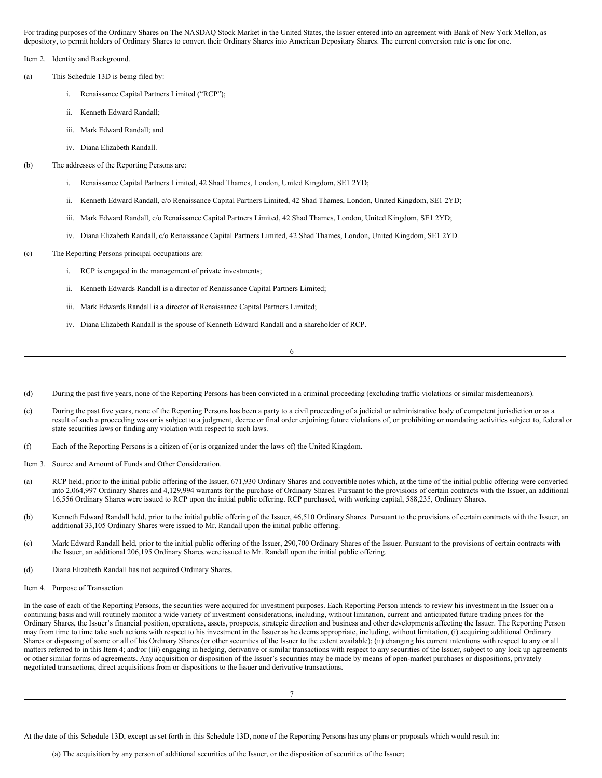For trading purposes of the Ordinary Shares on The NASDAQ Stock Market in the United States, the Issuer entered into an agreement with Bank of New York Mellon, as depository, to permit holders of Ordinary Shares to convert their Ordinary Shares into American Depositary Shares. The current conversion rate is one for one.

Item 2. Identity and Background.

- (a) This Schedule 13D is being filed by:
	- i. Renaissance Capital Partners Limited ("RCP");
	- ii. Kenneth Edward Randall;
	- iii. Mark Edward Randall; and
	- iv. Diana Elizabeth Randall.
- (b) The addresses of the Reporting Persons are:
	- i. Renaissance Capital Partners Limited, 42 Shad Thames, London, United Kingdom, SE1 2YD;
	- ii. Kenneth Edward Randall, c/o Renaissance Capital Partners Limited, 42 Shad Thames, London, United Kingdom, SE1 2YD;
	- iii. Mark Edward Randall, c/o Renaissance Capital Partners Limited, 42 Shad Thames, London, United Kingdom, SE1 2YD;
	- iv. Diana Elizabeth Randall, c/o Renaissance Capital Partners Limited, 42 Shad Thames, London, United Kingdom, SE1 2YD.
- (c) The Reporting Persons principal occupations are:
	- i. RCP is engaged in the management of private investments;
	- ii. Kenneth Edwards Randall is a director of Renaissance Capital Partners Limited;
	- iii. Mark Edwards Randall is a director of Renaissance Capital Partners Limited;
	- iv. Diana Elizabeth Randall is the spouse of Kenneth Edward Randall and a shareholder of RCP.

6

- (d) During the past five years, none of the Reporting Persons has been convicted in a criminal proceeding (excluding traffic violations or similar misdemeanors).
- (e) During the past five years, none of the Reporting Persons has been a party to a civil proceeding of a judicial or administrative body of competent jurisdiction or as a result of such a proceeding was or is subject to a judgment, decree or final order enjoining future violations of, or prohibiting or mandating activities subject to, federal or state securities laws or finding any violation with respect to such laws.
- (f) Each of the Reporting Persons is a citizen of (or is organized under the laws of) the United Kingdom.
- Item 3. Source and Amount of Funds and Other Consideration.
- (a) RCP held, prior to the initial public offering of the Issuer, 671,930 Ordinary Shares and convertible notes which, at the time of the initial public offering were converted into 2,064,997 Ordinary Shares and 4,129,994 warrants for the purchase of Ordinary Shares. Pursuant to the provisions of certain contracts with the Issuer, an additional 16,556 Ordinary Shares were issued to RCP upon the initial public offering. RCP purchased, with working capital, 588,235, Ordinary Shares.
- (b) Kenneth Edward Randall held, prior to the initial public offering of the Issuer, 46,510 Ordinary Shares. Pursuant to the provisions of certain contracts with the Issuer, an additional 33,105 Ordinary Shares were issued to Mr. Randall upon the initial public offering.
- (c) Mark Edward Randall held, prior to the initial public offering of the Issuer, 290,700 Ordinary Shares of the Issuer. Pursuant to the provisions of certain contracts with the Issuer, an additional 206,195 Ordinary Shares were issued to Mr. Randall upon the initial public offering.
- (d) Diana Elizabeth Randall has not acquired Ordinary Shares.
- Item 4. Purpose of Transaction

In the case of each of the Reporting Persons, the securities were acquired for investment purposes. Each Reporting Person intends to review his investment in the Issuer on a continuing basis and will routinely monitor a wide variety of investment considerations, including, without limitation, current and anticipated future trading prices for the Ordinary Shares, the Issuer's financial position, operations, assets, prospects, strategic direction and business and other developments affecting the Issuer. The Reporting Person may from time to time take such actions with respect to his investment in the Issuer as he deems appropriate, including, without limitation, (i) acquiring additional Ordinary Shares or disposing of some or all of his Ordinary Shares (or other securities of the Issuer to the extent available); (ii) changing his current intentions with respect to any or all matters referred to in this Item 4; and/or (iii) engaging in hedging, derivative or similar transactions with respect to any securities of the Issuer, subject to any lock up agreements or other similar forms of agreements. Any acquisition or disposition of the Issuer's securities may be made by means of open-market purchases or dispositions, privately negotiated transactions, direct acquisitions from or dispositions to the Issuer and derivative transactions.

At the date of this Schedule 13D, except as set forth in this Schedule 13D, none of the Reporting Persons has any plans or proposals which would result in: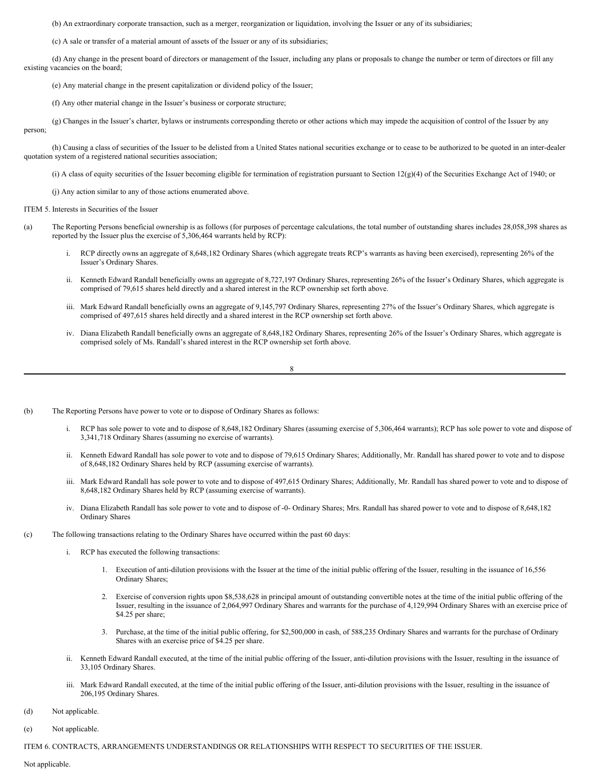(b) An extraordinary corporate transaction, such as a merger, reorganization or liquidation, involving the Issuer or any of its subsidiaries;

(c) A sale or transfer of a material amount of assets of the Issuer or any of its subsidiaries;

(d) Any change in the present board of directors or management of the Issuer, including any plans or proposals to change the number or term of directors or fill any existing vacancies on the board;

(e) Any material change in the present capitalization or dividend policy of the Issuer;

(f) Any other material change in the Issuer's business or corporate structure;

(g) Changes in the Issuer's charter, bylaws or instruments corresponding thereto or other actions which may impede the acquisition of control of the Issuer by any person;

(h) Causing a class of securities of the Issuer to be delisted from a United States national securities exchange or to cease to be authorized to be quoted in an inter-dealer quotation system of a registered national securities association;

(i) A class of equity securities of the Issuer becoming eligible for termination of registration pursuant to Section  $12(g)(4)$  of the Securities Exchange Act of 1940; or

(j) Any action similar to any of those actions enumerated above.

ITEM 5. Interests in Securities of the Issuer

- (a) The Reporting Persons beneficial ownership is as follows (for purposes of percentage calculations, the total number of outstanding shares includes 28,058,398 shares as reported by the Issuer plus the exercise of 5,306,464 warrants held by RCP):
	- i. RCP directly owns an aggregate of 8,648,182 Ordinary Shares (which aggregate treats RCP's warrants as having been exercised), representing 26% of the Issuer's Ordinary Shares.
	- ii. Kenneth Edward Randall beneficially owns an aggregate of 8,727,197 Ordinary Shares, representing 26% of the Issuer's Ordinary Shares, which aggregate is comprised of 79,615 shares held directly and a shared interest in the RCP ownership set forth above.
	- iii. Mark Edward Randall beneficially owns an aggregate of 9,145,797 Ordinary Shares, representing 27% of the Issuer's Ordinary Shares, which aggregate is comprised of 497,615 shares held directly and a shared interest in the RCP ownership set forth above.
	- iv. Diana Elizabeth Randall beneficially owns an aggregate of 8,648,182 Ordinary Shares, representing 26% of the Issuer's Ordinary Shares, which aggregate is comprised solely of Ms. Randall's shared interest in the RCP ownership set forth above.

| I<br>I  |  |
|---------|--|
| ۱,<br>ï |  |
| ×<br>v  |  |

- (b) The Reporting Persons have power to vote or to dispose of Ordinary Shares as follows:
	- i. RCP has sole power to vote and to dispose of 8,648,182 Ordinary Shares (assuming exercise of 5,306,464 warrants); RCP has sole power to vote and dispose of 3,341,718 Ordinary Shares (assuming no exercise of warrants).
	- ii. Kenneth Edward Randall has sole power to vote and to dispose of 79,615 Ordinary Shares; Additionally, Mr. Randall has shared power to vote and to dispose of 8,648,182 Ordinary Shares held by RCP (assuming exercise of warrants).
	- iii. Mark Edward Randall has sole power to vote and to dispose of 497,615 Ordinary Shares; Additionally, Mr. Randall has shared power to vote and to dispose of 8,648,182 Ordinary Shares held by RCP (assuming exercise of warrants).
	- iv. Diana Elizabeth Randall has sole power to vote and to dispose of -0- Ordinary Shares; Mrs. Randall has shared power to vote and to dispose of 8,648,182 Ordinary Shares
- (c) The following transactions relating to the Ordinary Shares have occurred within the past 60 days:
	- i. RCP has executed the following transactions:
		- 1. Execution of anti-dilution provisions with the Issuer at the time of the initial public offering of the Issuer, resulting in the issuance of 16,556 Ordinary Shares;
		- 2. Exercise of conversion rights upon \$8,538,628 in principal amount of outstanding convertible notes at the time of the initial public offering of the Issuer, resulting in the issuance of 2,064,997 Ordinary Shares and warrants for the purchase of 4,129,994 Ordinary Shares with an exercise price of \$4.25 per share;
		- 3. Purchase, at the time of the initial public offering, for \$2,500,000 in cash, of 588,235 Ordinary Shares and warrants for the purchase of Ordinary Shares with an exercise price of \$4.25 per share.
	- ii. Kenneth Edward Randall executed, at the time of the initial public offering of the Issuer, anti-dilution provisions with the Issuer, resulting in the issuance of 33,105 Ordinary Shares.
	- iii. Mark Edward Randall executed, at the time of the initial public offering of the Issuer, anti-dilution provisions with the Issuer, resulting in the issuance of 206,195 Ordinary Shares.
- (d) Not applicable.
- (e) Not applicable.

ITEM 6. CONTRACTS, ARRANGEMENTS UNDERSTANDINGS OR RELATIONSHIPS WITH RESPECT TO SECURITIES OF THE ISSUER.

Not applicable.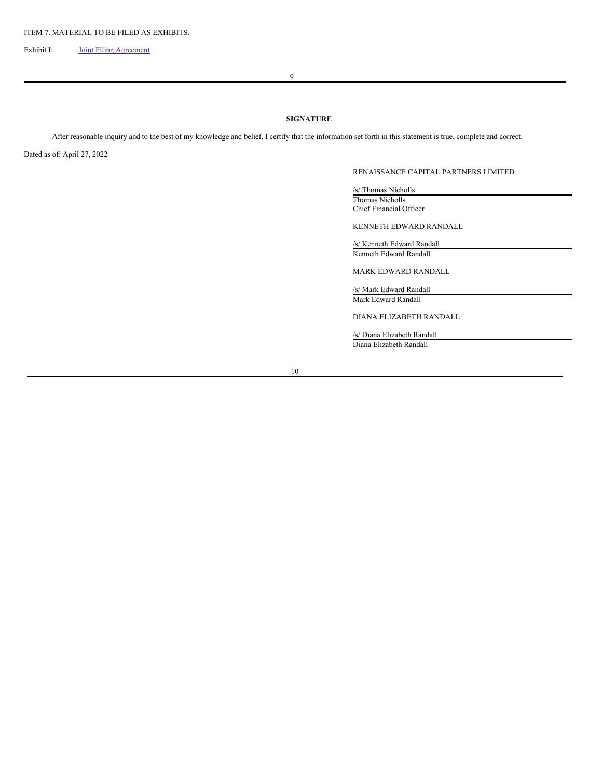Exhibit I: Joint Filing [Agreement](#page-7-0)

9

# **SIGNATURE**

After reasonable inquiry and to the best of my knowledge and belief, I certify that the information set forth in this statement is true, complete and correct.

Dated as of: April 27, 2022

# RENAISSANCE CAPITAL PARTNERS LIMITED

/s/ Thomas Nicholls Thomas Nicholls Chief Financial Officer

KENNETH EDWARD RANDALL

/s/ Kenneth Edward Randall Kenneth Edward Randall

MARK EDWARD RANDALL

/s/ Mark Edward Randall Mark Edward Randall

DIANA ELIZABETH RANDALL

/s/ Diana Elizabeth Randall Diana Elizabeth Randall

10